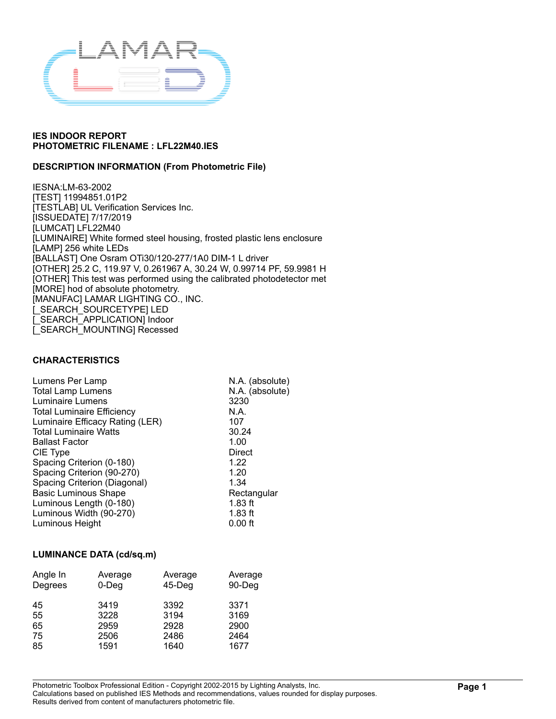

### **DESCRIPTION INFORMATION (From Photometric File)**

IESNA:LM-63-2002 [TEST] 11994851.01P2 [TESTLAB] UL Verification Services Inc. [ISSUEDATE] 7/17/2019 [LUMCAT] LFL22M40 [LUMINAIRE] White formed steel housing, frosted plastic lens enclosure [LAMP] 256 white LEDs [BALLAST] One Osram OTi30/120-277/1A0 DIM-1 L driver [OTHER] 25.2 C, 119.97 V, 0.261967 A, 30.24 W, 0.99714 PF, 59.9981 H [OTHER] This test was performed using the calibrated photodetector met [MORE] hod of absolute photometry. [MANUFAC] LAMAR LIGHTING CO., INC. [\_SEARCH\_SOURCETYPE] LED [\_SEARCH\_APPLICATION] Indoor [\_SEARCH\_MOUNTING] Recessed

### **CHARACTERISTICS**

| Lumens Per Lamp                   | N.A. (absolute) |
|-----------------------------------|-----------------|
| <b>Total Lamp Lumens</b>          | N.A. (absolute) |
| Luminaire Lumens                  | 3230            |
| <b>Total Luminaire Efficiency</b> | N.A.            |
| Luminaire Efficacy Rating (LER)   | 107             |
| <b>Total Luminaire Watts</b>      | 30.24           |
| <b>Ballast Factor</b>             | 1.00            |
| CIE Type                          | Direct          |
| Spacing Criterion (0-180)         | 1.22            |
| Spacing Criterion (90-270)        | 1.20            |
| Spacing Criterion (Diagonal)      | 1.34            |
| <b>Basic Luminous Shape</b>       | Rectangular     |
| Luminous Length (0-180)           | $1.83$ ft       |
| Luminous Width (90-270)           | $1.83$ ft       |
| Luminous Height                   | $0.00$ ft       |
|                                   |                 |

#### **LUMINANCE DATA (cd/sq.m)**

| Angle In | Average  | Average   | Average |
|----------|----------|-----------|---------|
| Degrees  | $0$ -Deg | $45$ -Deg | 90-Deg  |
| 45       | 3419     | 3392      | 3371    |
| 55       | 3228     | 3194      | 3169    |
| 65       | 2959     | 2928      | 2900    |
| 75       | 2506     | 2486      | 2464    |
| 85       | 1591     | 1640      | 1677    |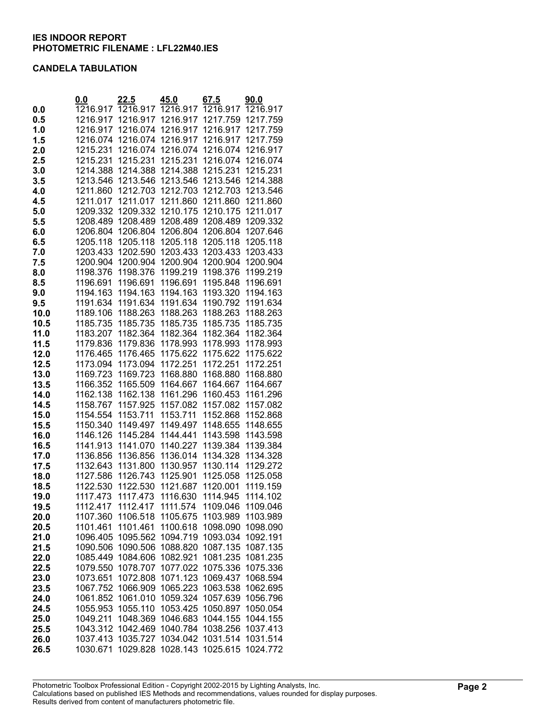### **CANDELA TABULATION**

|              | 0.0                  | <u>22.5</u>          | 45.0                 | 67.5                 | 90.0                 |
|--------------|----------------------|----------------------|----------------------|----------------------|----------------------|
| 0.0          | 1216.917             | 1216.917             | 1216.917             | 1216.917             | 1216.917             |
| 0.5          | 1216.917             | 1216.917             | 1216.917             | 1217.759             | 1217.759             |
| 1.0          | 1216.917             | 1216.074             | 1216.917             | 1216.917             | 1217.759             |
| 1.5          | 1216.074             | 1216.074             | 1216.917             | 1216.917             | 1217.759             |
| 2.0          | 1215.231             | 1216.074             | 1216.074             | 1216.074             | 1216.917             |
| 2.5          | 1215.231             | 1215.231             | 1215.231             | 1216.074             | 1216.074             |
| 3.0          | 1214.388             | 1214.388             | 1214.388             | 1215.231             | 1215.231             |
| 3.5          | 1213.546             | 1213.546             | 1213.546             | 1213.546             | 1214.388             |
| 4.0          | 1211.860             | 1212.703             | 1212.703             | 1212.703             | 1213.546             |
| 4.5          | 1211.017             | 1211.017             | 1211.860             | 1211.860             | 1211.860             |
| 5.0          | 1209.332             | 1209.332             | 1210.175             | 1210.175             | 1211.017             |
| 5.5          | 1208.489             | 1208.489             | 1208.489             | 1208.489             | 1209.332             |
| 6.0          | 1206.804             | 1206.804             | 1206.804             | 1206.804             | 1207.646             |
| 6.5          | 1205.118             | 1205.118             | 1205.118             | 1205.118             | 1205.118             |
| 7.0          | 1203.433             | 1202.590             | 1203.433             | 1203.433             | 1203.433             |
| 7.5          | 1200.904             | 1200.904             | 1200.904             | 1200.904             | 1200.904             |
| 8.0          | 1198.376             | 1198.376             | 1199.219             | 1198.376             | 1199.219             |
| 8.5          | 1196.691             | 1196.691             | 1196.691             | 1195.848             | 1196.691             |
| 9.0          | 1194.163             | 1194.163             | 1194.163             | 1193.320             | 1194.163             |
| 9.5          | 1191.634             | 1191.634             | 1191.634             | 1190.792             | 1191.634             |
| 10.0         | 1189.106             | 1188.263             | 1188.263             | 1188.263             | 1188.263             |
| 10.5         | 1185.735             | 1185.735             | 1185.735             | 1185.735             | 1185.735             |
| 11.0         | 1183.207             | 1182.364             | 1182.364             | 1182.364             | 1182.364             |
| 11.5         | 1179.836             | 1179.836             | 1178.993             | 1178.993             | 1178.993             |
| 12.0<br>12.5 | 1176.465<br>1173.094 | 1176.465<br>1173.094 | 1175.622<br>1172.251 | 1175.622<br>1172.251 | 1175.622<br>1172.251 |
| 13.0         | 1169.723             | 1169.723             | 1168.880             | 1168.880             | 1168.880             |
| 13.5         | 1166.352             | 1165.509             | 1164.667             | 1164.667             | 1164.667             |
| 14.0         | 1162.138             | 1162.138             | 1161.296             | 1160.453             | 1161.296             |
| 14.5         | 1158.767             | 1157.925             | 1157.082             | 1157.082             | 1157.082             |
| 15.0         | 1154.554             | 1153.711             | 1153.711             | 1152.868             | 1152.868             |
| 15.5         | 1150.340             | 1149.497             | 1149.497             | 1148.655             | 1148.655             |
| 16.0         | 1146.126             | 1145.284             | 1144.441             | 1143.598             | 1143.598             |
| 16.5         | 1141.913             | 1141.070             | 1140.227             | 1139.384             | 1139.384             |
| 17.0         | 1136.856             | 1136.856             | 1136.014             | 1134.328             | 1134.328             |
| 17.5         | 1132.643             | 1131.800             | 1130.957             | 1130.114             | 1129.272             |
| 18.0         | 1127.586             | 1126.743             | 1125.901             | 1125.058             | 1125.058             |
| 18.5         | 1122.530             | 1122.530             | 1121.687             | 1120.001             | 1119.159             |
| 19.0         | 1117.473             | 1117.473             | 1116.630             | 1114.945             | 1114.102             |
| 19.5         | 1112.417             | 1112.417             | 1111.574             | 1109.046             | 1109.046             |
| 20.0         | 1107.360             | 1106.518             | 1105.675             | 1103.989             | 1103.989             |
| 20.5         | 1101.461             | 1101.461             | 1100.618             | 1098.090             | 1098.090             |
| 21.0         | 1096.405             | 1095.562             | 1094.719             | 1093.034             | 1092.191             |
| 21.5         | 1090.506             | 1090.506             | 1088.820             | 1087.135             | 1087.135             |
| 22.0         | 1085.449             | 1084.606             | 1082.921             | 1081.235             | 1081.235             |
| 22.5         | 1079.550             | 1078.707             | 1077.022             | 1075.336<br>1069.437 | 1075.336             |
| 23.0         | 1073.651             | 1072.808<br>1066.909 | 1071.123<br>1065.223 |                      | 1068.594             |
| 23.5         | 1067.752<br>1061.852 | 1061.010             | 1059.324             | 1063.538             | 1062.695<br>1056.796 |
| 24.0<br>24.5 | 1055.953             | 1055.110             | 1053.425             | 1057.639<br>1050.897 | 1050.054             |
| 25.0         | 1049.211             | 1048.369             | 1046.683             | 1044.155             | 1044.155             |
| 25.5         | 1043.312             | 1042.469             | 1040.784             | 1038.256             | 1037.413             |
| 26.0         | 1037.413             | 1035.727             | 1034.042             | 1031.514             | 1031.514             |
| 26.5         | 1030.671             | 1029.828             | 1028.143             | 1025.615             | 1024.772             |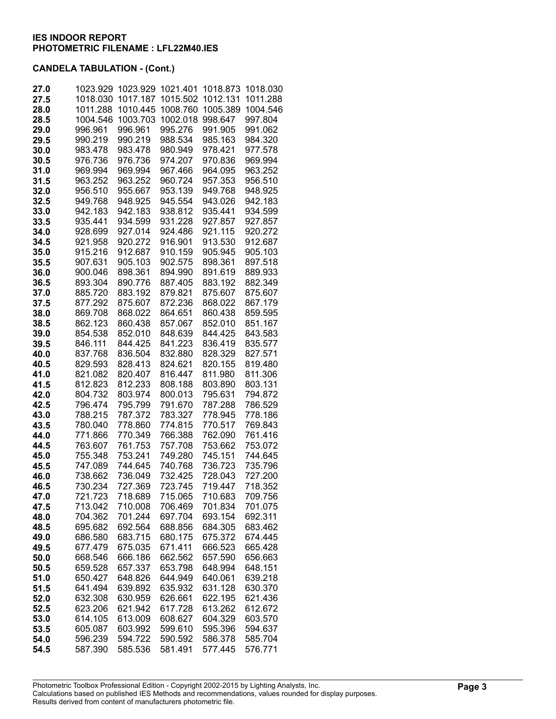| 27.0         | 1023.929           | 1023.929           | 1021.401           | 1018.873           | 1018.030           |
|--------------|--------------------|--------------------|--------------------|--------------------|--------------------|
| 27.5         | 1018.030           | 1017.187           | 1015.502           | 1012.131           | 1011.288           |
| 28.0         | 1011.288           | 1010.445           | 1008.760           | 1005.389           | 1004.546           |
| 28.5         | 1004.546           | 1003.703           | 1002.018           | 998.647            | 997.804            |
| 29.0         | 996.961            | 996.961            | 995.276<br>988.534 | 991.905            | 991.062            |
| 29.5<br>30.0 | 990.219<br>983.478 | 990.219<br>983.478 | 980.949            | 985.163<br>978.421 | 984.320<br>977.578 |
| 30.5         | 976.736            | 976.736            | 974.207            | 970.836            | 969.994            |
| 31.0         | 969.994            | 969.994            | 967.466            | 964.095            | 963.252            |
| 31.5         | 963.252            | 963.252            | 960.724            | 957.353            | 956.510            |
| 32.0         | 956.510            | 955.667            | 953.139            | 949.768            | 948.925            |
| 32.5         | 949.768            | 948.925            | 945.554            | 943.026            | 942.183            |
| 33.0         | 942.183            | 942.183            | 938.812            | 935.441            | 934.599            |
| 33.5         | 935.441            | 934.599            | 931.228            | 927.857            | 927.857            |
| 34.0         | 928.699            | 927.014            | 924.486            | 921.115            | 920.272            |
| 34.5         | 921.958            | 920.272            | 916.901            | 913.530            | 912.687            |
| 35.0         | 915.216            | 912.687            | 910.159            | 905.945            | 905.103            |
| 35.5         | 907.631            | 905.103            | 902.575            | 898.361            | 897.518            |
| 36.0         | 900.046            | 898.361            | 894.990            | 891.619            | 889.933            |
| 36.5         | 893.304            | 890.776            | 887.405            | 883.192            | 882.349            |
| 37.0         | 885.720            | 883.192            | 879.821            | 875.607<br>868.022 | 875.607            |
| 37.5<br>38.0 | 877.292<br>869.708 | 875.607<br>868.022 | 872.236<br>864.651 | 860.438            | 867.179<br>859.595 |
| 38.5         | 862.123            | 860.438            | 857.067            | 852.010            | 851.167            |
| 39.0         | 854.538            | 852.010            | 848.639            | 844.425            | 843.583            |
| 39.5         | 846.111            | 844.425            | 841.223            | 836.419            | 835.577            |
| 40.0         | 837.768            | 836.504            | 832.880            | 828.329            | 827.571            |
| 40.5         | 829.593            | 828.413            | 824.621            | 820.155            | 819.480            |
| 41.0         | 821.082            | 820.407            | 816.447            | 811.980            | 811.306            |
| 41.5         | 812.823            | 812.233            | 808.188            | 803.890            | 803.131            |
| 42.0         | 804.732            | 803.974            | 800.013            | 795.631            | 794.872            |
| 42.5         | 796.474            | 795.799            | 791.670            | 787.288            | 786.529            |
| 43.0         | 788.215            | 787.372            | 783.327            | 778.945            | 778.186            |
| 43.5         | 780.040            | 778.860            | 774.815            | 770.517            | 769.843            |
| 44.0         | 771.866            | 770.349            | 766.388            | 762.090            | 761.416            |
| 44.5         | 763.607<br>755.348 | 761.753<br>753.241 | 757.708<br>749.280 | 753.662<br>745.151 | 753.072<br>744.645 |
| 45.0<br>45.5 | 747.089            | 744.645            | 740.768            | 736.723            | 735.796            |
| 46.0         | 738.662            | 736.049            | 732.425            | 728.043            | 727.200            |
| 46.5         | 730.234            | 727.369            | 723.745            | 719.447            | 718.352            |
| 47.0         | 721.723            | 718.689            | 715.065            | 710.683            | 709.756            |
| 47.5         | 713.042            | 710.008            | 706.469            | 701.834            | 701.075            |
| 48.0         | 704.362            | 701.244            | 697.704            | 693.154            | 692.311            |
| 48.5         | 695.682            | 692.564            | 688.856            | 684.305            | 683.462            |
| 49.0         | 686.580            | 683.715            | 680.175            | 675.372            | 674.445            |
| 49.5         | 677.479            | 675.035            | 671.411            | 666.523            | 665.428            |
| 50.0         | 668.546            | 666.186            | 662.562            | 657.590            | 656.663            |
| 50.5         | 659.528            | 657.337            | 653.798            | 648.994            | 648.151            |
| 51.0         | 650.427            | 648.826            | 644.949            | 640.061            | 639.218            |
| 51.5         | 641.494            | 639.892            | 635.932            | 631.128<br>622.195 | 630.370            |
| 52.0<br>52.5 | 632.308<br>623.206 | 630.959<br>621.942 | 626.661<br>617.728 | 613.262            | 621.436<br>612.672 |
| 53.0         | 614.105            | 613.009            | 608.627            | 604.329            | 603.570            |
| 53.5         | 605.087            | 603.992            | 599.610            | 595.396            | 594.637            |
| 54.0         | 596.239            | 594.722            | 590.592            | 586.378            | 585.704            |
| 54.5         | 587.390            | 585.536            | 581.491            | 577.445            | 576.771            |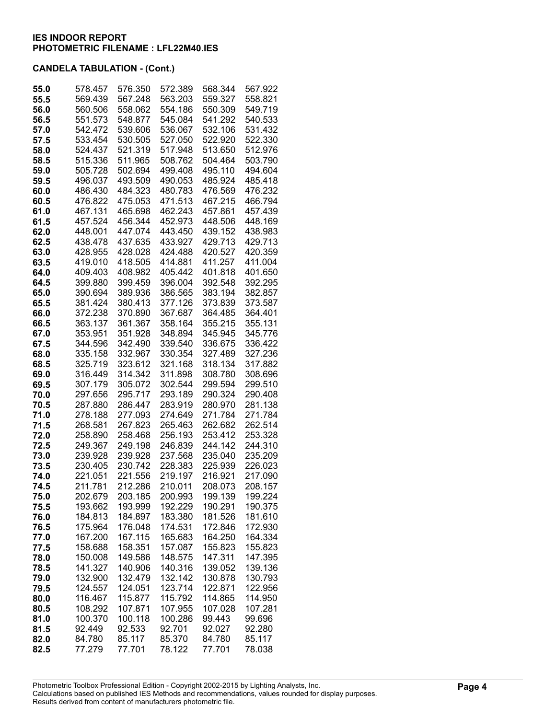| 55.0         | 578.457            | 576.350            | 572.389            | 568.344            | 567.922            |
|--------------|--------------------|--------------------|--------------------|--------------------|--------------------|
| 55.5         | 569.439            | 567.248            | 563.203            | 559.327            | 558.821            |
| 56.0         | 560.506            | 558.062            | 554.186            | 550.309            | 549.719            |
| 56.5         | 551.573            | 548.877            | 545.084            | 541.292            | 540.533            |
| 57.0         | 542.472            | 539.606            | 536.067            | 532.106            | 531.432            |
| 57.5         | 533.454            | 530.505            | 527.050            | 522.920            | 522.330            |
| 58.0         | 524.437            | 521.319            | 517.948            | 513.650            | 512.976            |
| 58.5         | 515.336            | 511.965            | 508.762            | 504.464            | 503.790            |
| 59.0         | 505.728            | 502.694            | 499.408            | 495.110            | 494.604            |
| 59.5         | 496.037            | 493.509            | 490.053            | 485.924            | 485.418            |
| 60.0         | 486.430            | 484.323            | 480.783            | 476.569            | 476.232            |
| 60.5         | 476.822            | 475.053            | 471.513            | 467.215            | 466.794            |
| 61.0         | 467.131            | 465.698            | 462.243            | 457.861            | 457.439            |
| 61.5         | 457.524            | 456.344            | 452.973            | 448.506            | 448.169            |
| 62.0         | 448.001            | 447.074            | 443.450            | 439.152            | 438.983            |
| 62.5<br>63.0 | 438.478<br>428.955 | 437.635<br>428.028 | 433.927<br>424.488 | 429.713<br>420.527 | 429.713<br>420.359 |
| 63.5         | 419.010            | 418.505            | 414.881            | 411.257            | 411.004            |
| 64.0         | 409.403            | 408.982            | 405.442            | 401.818            | 401.650            |
| 64.5         | 399.880            | 399.459            | 396.004            | 392.548            | 392.295            |
| 65.0         | 390.694            | 389.936            | 386.565            | 383.194            | 382.857            |
| 65.5         | 381.424            | 380.413            | 377.126            | 373.839            | 373.587            |
| 66.0         | 372.238            | 370.890            | 367.687            | 364.485            | 364.401            |
| 66.5         | 363.137            | 361.367            | 358.164            | 355.215            | 355.131            |
| 67.0         | 353.951            | 351.928            | 348.894            | 345.945            | 345.776            |
| 67.5         | 344.596            | 342.490            | 339.540            | 336.675            | 336.422            |
| 68.0         | 335.158            | 332.967            | 330.354            | 327.489            | 327.236            |
| 68.5         | 325.719            | 323.612            | 321.168            | 318.134            | 317.882            |
| 69.0         | 316.449            | 314.342            | 311.898            | 308.780            | 308.696            |
| 69.5         | 307.179            | 305.072            | 302.544            | 299.594            | 299.510            |
| 70.0         | 297.656            | 295.717            | 293.189            | 290.324            | 290.408            |
| 70.5         | 287.880            | 286.447            | 283.919            | 280.970            | 281.138            |
| 71.0         | 278.188            | 277.093            | 274.649            | 271.784            | 271.784            |
| 71.5         | 268.581            | 267.823            | 265.463            | 262.682            | 262.514            |
| 72.0         | 258.890            | 258.468            | 256.193            | 253.412<br>244.142 | 253.328            |
| 72.5<br>73.0 | 249.367<br>239.928 | 249.198<br>239.928 | 246.839<br>237.568 | 235.040            | 244.310<br>235.209 |
| 73.5         | 230.405            | 230.742            | 228.383            | 225.939            | 226.023            |
| 74.0         | 221.051            | 221.556            | 219.197            | 216.921            | 217.090            |
| 74.5         | 211.781            | 212.286            | 210.011            | 208.073            | 208.157            |
| 75.0         | 202.679            | 203.185            | 200.993            | 199.139            | 199.224            |
| 75.5         | 193.662            | 193.999            | 192.229            | 190.291            | 190.375            |
| 76.0         | 184.813            | 184.897            | 183.380            | 181.526            | 181.610            |
| 76.5         | 175.964            | 176.048            | 174.531            | 172.846            | 172.930            |
| 77.0         | 167.200            | 167.115            | 165.683            | 164.250            | 164.334            |
| 77.5         | 158.688            | 158.351            | 157.087            | 155.823            | 155.823            |
| 78.0         | 150.008            | 149.586            | 148.575            | 147.311            | 147.395            |
| 78.5         | 141.327            | 140.906            | 140.316            | 139.052            | 139.136            |
| 79.0         | 132.900            | 132.479            | 132.142            | 130.878            | 130.793            |
| 79.5         | 124.557            | 124.051            | 123.714            | 122.871            | 122.956            |
| 80.0         | 116.467            | 115.877            | 115.792            | 114.865            | 114.950            |
| 80.5         | 108.292            | 107.871            | 107.955            | 107.028            | 107.281            |
| 81.0         | 100.370            | 100.118            | 100.286            | 99.443             | 99.696             |
| 81.5<br>82.0 | 92.449<br>84.780   | 92.533<br>85.117   | 92.701<br>85.370   | 92.027<br>84.780   | 92.280<br>85.117   |
| 82.5         | 77.279             | 77.701             | 78.122             | 77.701             | 78.038             |
|              |                    |                    |                    |                    |                    |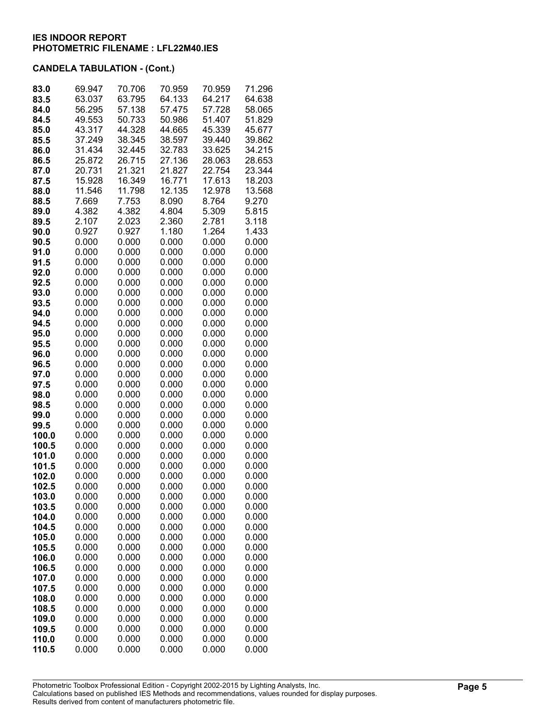| 83.0  | 69.947 | 70.706 | 70.959 | 70.959 | 71.296 |
|-------|--------|--------|--------|--------|--------|
| 83.5  | 63.037 | 63.795 | 64.133 | 64.217 | 64.638 |
| 84.0  | 56.295 | 57.138 | 57.475 | 57.728 | 58.065 |
| 84.5  | 49.553 | 50.733 | 50.986 | 51.407 | 51.829 |
| 85.0  | 43.317 | 44.328 | 44.665 | 45.339 | 45.677 |
| 85.5  | 37.249 | 38.345 | 38.597 | 39.440 | 39.862 |
| 86.0  | 31.434 | 32.445 | 32.783 | 33.625 | 34.215 |
| 86.5  | 25.872 | 26.715 | 27.136 | 28.063 | 28.653 |
|       | 20.731 | 21.321 | 21.827 | 22.754 | 23.344 |
| 87.0  |        |        |        |        |        |
| 87.5  | 15.928 | 16.349 | 16.771 | 17.613 | 18.203 |
| 88.0  | 11.546 | 11.798 | 12.135 | 12.978 | 13.568 |
| 88.5  | 7.669  | 7.753  | 8.090  | 8.764  | 9.270  |
| 89.0  | 4.382  | 4.382  | 4.804  | 5.309  | 5.815  |
| 89.5  | 2.107  | 2.023  | 2.360  | 2.781  | 3.118  |
| 90.0  | 0.927  | 0.927  | 1.180  | 1.264  | 1.433  |
| 90.5  | 0.000  | 0.000  | 0.000  | 0.000  | 0.000  |
| 91.0  | 0.000  | 0.000  | 0.000  | 0.000  | 0.000  |
| 91.5  | 0.000  | 0.000  | 0.000  | 0.000  | 0.000  |
| 92.0  | 0.000  | 0.000  | 0.000  | 0.000  | 0.000  |
| 92.5  | 0.000  | 0.000  | 0.000  | 0.000  | 0.000  |
| 93.0  | 0.000  | 0.000  | 0.000  | 0.000  | 0.000  |
| 93.5  | 0.000  | 0.000  | 0.000  | 0.000  | 0.000  |
| 94.0  | 0.000  | 0.000  | 0.000  | 0.000  | 0.000  |
|       | 0.000  | 0.000  | 0.000  | 0.000  |        |
| 94.5  |        |        |        |        | 0.000  |
| 95.0  | 0.000  | 0.000  | 0.000  | 0.000  | 0.000  |
| 95.5  | 0.000  | 0.000  | 0.000  | 0.000  | 0.000  |
| 96.0  | 0.000  | 0.000  | 0.000  | 0.000  | 0.000  |
| 96.5  | 0.000  | 0.000  | 0.000  | 0.000  | 0.000  |
| 97.0  | 0.000  | 0.000  | 0.000  | 0.000  | 0.000  |
| 97.5  | 0.000  | 0.000  | 0.000  | 0.000  | 0.000  |
| 98.0  | 0.000  | 0.000  | 0.000  | 0.000  | 0.000  |
| 98.5  | 0.000  | 0.000  | 0.000  | 0.000  | 0.000  |
| 99.0  | 0.000  | 0.000  | 0.000  | 0.000  | 0.000  |
| 99.5  | 0.000  | 0.000  | 0.000  | 0.000  | 0.000  |
| 100.0 | 0.000  | 0.000  | 0.000  | 0.000  | 0.000  |
| 100.5 | 0.000  | 0.000  | 0.000  | 0.000  | 0.000  |
| 101.0 | 0.000  | 0.000  | 0.000  | 0.000  | 0.000  |
| 101.5 | 0.000  | 0.000  | 0.000  | 0.000  | 0.000  |
| 102.0 | 0.000  | 0.000  | 0.000  | 0.000  | 0.000  |
| 102.5 | 0.000  | 0.000  | 0.000  | 0.000  | 0.000  |
| 103.0 | 0.000  | 0.000  | 0.000  | 0.000  | 0.000  |
| 103.5 | 0.000  | 0.000  | 0.000  | 0.000  | 0.000  |
| 104.0 | 0.000  | 0.000  | 0.000  | 0.000  | 0.000  |
| 104.5 | 0.000  | 0.000  | 0.000  | 0.000  | 0.000  |
| 105.0 | 0.000  | 0.000  | 0.000  | 0.000  | 0.000  |
| 105.5 | 0.000  | 0.000  | 0.000  | 0.000  | 0.000  |
| 106.0 | 0.000  | 0.000  | 0.000  | 0.000  | 0.000  |
|       |        |        |        |        | 0.000  |
| 106.5 | 0.000  | 0.000  | 0.000  | 0.000  |        |
| 107.0 | 0.000  | 0.000  | 0.000  | 0.000  | 0.000  |
| 107.5 | 0.000  | 0.000  | 0.000  | 0.000  | 0.000  |
| 108.0 | 0.000  | 0.000  | 0.000  | 0.000  | 0.000  |
| 108.5 | 0.000  | 0.000  | 0.000  | 0.000  | 0.000  |
| 109.0 | 0.000  | 0.000  | 0.000  | 0.000  | 0.000  |
| 109.5 | 0.000  | 0.000  | 0.000  | 0.000  | 0.000  |
| 110.0 | 0.000  | 0.000  | 0.000  | 0.000  | 0.000  |
| 110.5 | 0.000  | 0.000  | 0.000  | 0.000  | 0.000  |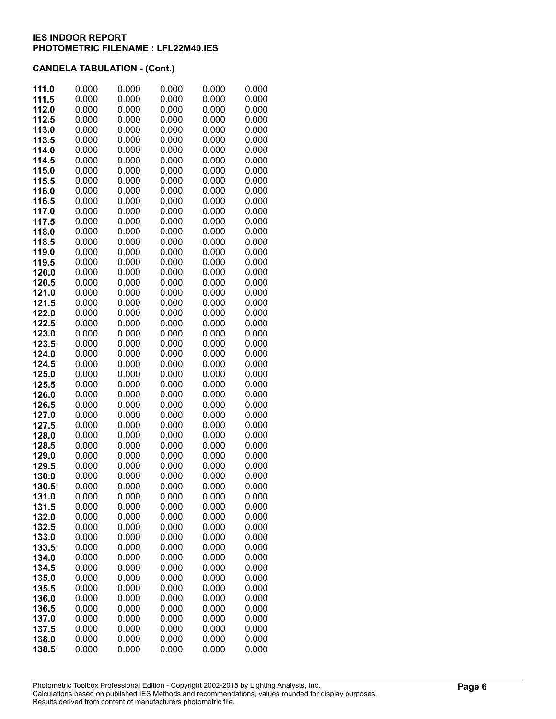| 111.5<br>0.000<br>0.000<br>0.000<br>0.000<br>0.000<br>112.0<br>0.000<br>0.000<br>0.000<br>0.000<br>0.000<br>112.5<br>0.000<br>0.000<br>0.000<br>0.000<br>0.000<br>113.0<br>0.000<br>0.000<br>0.000<br>0.000<br>0.000<br>0.000<br>113.5<br>0.000<br>0.000<br>0.000<br>0.000<br>114.0<br>0.000<br>0.000<br>0.000<br>0.000<br>0.000<br>114.5<br>0.000<br>0.000<br>0.000<br>0.000<br>0.000<br>0.000<br>0.000<br>115.0<br>0.000<br>0.000<br>0.000<br>115.5<br>0.000<br>0.000<br>0.000<br>0.000<br>0.000<br>0.000<br>0.000<br>0.000<br>0.000<br>116.0<br>0.000<br>116.5<br>0.000<br>0.000<br>0.000<br>0.000<br>0.000<br>0.000<br>0.000<br>0.000<br>0.000<br>0.000<br>117.0<br>0.000<br>0.000<br>0.000<br>0.000<br>0.000<br>117.5<br>118.0<br>0.000<br>0.000<br>0.000<br>0.000<br>0.000<br>118.5<br>0.000<br>0.000<br>0.000<br>0.000<br>0.000<br>119.0<br>0.000<br>0.000<br>0.000<br>0.000<br>0.000<br>119.5<br>0.000<br>0.000<br>0.000<br>0.000<br>0.000<br>120.0<br>0.000<br>0.000<br>0.000<br>0.000<br>0.000<br>120.5<br>0.000<br>0.000<br>0.000<br>0.000<br>0.000<br>121.0<br>0.000<br>0.000<br>0.000<br>0.000<br>0.000<br>121.5<br>0.000<br>0.000<br>0.000<br>0.000<br>0.000<br>122.0<br>0.000<br>0.000<br>0.000<br>0.000<br>0.000<br>0.000<br>0.000<br>122.5<br>0.000<br>0.000<br>0.000<br>0.000<br>123.0<br>0.000<br>0.000<br>0.000<br>0.000<br>123.5<br>0.000<br>0.000<br>0.000<br>0.000<br>0.000<br>0.000<br>124.0<br>0.000<br>0.000<br>0.000<br>0.000<br>124.5<br>0.000<br>0.000<br>0.000<br>0.000<br>0.000<br>125.0<br>0.000<br>0.000<br>0.000<br>0.000<br>0.000<br>125.5<br>0.000<br>0.000<br>0.000<br>0.000<br>0.000<br>126.0<br>0.000<br>0.000<br>0.000<br>0.000<br>0.000<br>0.000<br>0.000<br>0.000<br>126.5<br>0.000<br>0.000<br>127.0<br>0.000<br>0.000<br>0.000<br>0.000<br>0.000<br>0.000<br>0.000<br>0.000<br>0.000<br>127.5<br>0.000<br>0.000<br>0.000<br>0.000<br>0.000<br>0.000<br>128.0<br>0.000<br>0.000<br>0.000<br>0.000<br>0.000<br>128.5<br>0.000<br>0.000<br>0.000<br>0.000<br>0.000<br>129.0<br>0.000<br>129.5<br>0.000<br>0.000<br>0.000<br>0.000<br>0.000<br>0.000<br>0.000<br>0.000<br>0.000<br>130.0<br>0.000<br>0.000<br>0.000<br>0.000<br>0.000<br>130.5<br>131.0<br>0.000<br>0.000<br>0.000<br>0.000<br>0.000<br>131.5<br>0.000<br>0.000<br>0.000<br>0.000<br>0.000<br>132.0<br>0.000<br>0.000<br>0.000<br>0.000<br>0.000<br>132.5<br>0.000<br>0.000<br>0.000<br>0.000<br>0.000<br>0.000<br>0.000<br>0.000<br>0.000<br>133.0<br>0.000<br>0.000<br>0.000<br>133.5<br>0.000<br>0.000<br>0.000<br>0.000<br>0.000<br>0.000<br>0.000<br>0.000<br>134.0<br>0.000<br>0.000<br>0.000<br>0.000<br>0.000<br>134.5<br>0.000<br>0.000<br>0.000<br>0.000<br>0.000<br>135.0<br>0.000<br>0.000<br>0.000<br>0.000<br>0.000<br>135.5<br>0.000<br>0.000<br>0.000<br>0.000<br>0.000<br>136.0<br>0.000<br>0.000<br>0.000<br>0.000<br>0.000<br>136.5<br>0.000<br>0.000<br>0.000<br>0.000<br>137.0<br>0.000<br>0.000<br>0.000<br>0.000<br>137.5<br>0.000<br>0.000<br>138.0<br>0.000<br>0.000<br>0.000<br>0.000<br>0.000<br>138.5<br>0.000<br>0.000<br>0.000<br>0.000<br>0.000 | 111.0 | 0.000 | 0.000 | 0.000 | 0.000 | 0.000 |
|----------------------------------------------------------------------------------------------------------------------------------------------------------------------------------------------------------------------------------------------------------------------------------------------------------------------------------------------------------------------------------------------------------------------------------------------------------------------------------------------------------------------------------------------------------------------------------------------------------------------------------------------------------------------------------------------------------------------------------------------------------------------------------------------------------------------------------------------------------------------------------------------------------------------------------------------------------------------------------------------------------------------------------------------------------------------------------------------------------------------------------------------------------------------------------------------------------------------------------------------------------------------------------------------------------------------------------------------------------------------------------------------------------------------------------------------------------------------------------------------------------------------------------------------------------------------------------------------------------------------------------------------------------------------------------------------------------------------------------------------------------------------------------------------------------------------------------------------------------------------------------------------------------------------------------------------------------------------------------------------------------------------------------------------------------------------------------------------------------------------------------------------------------------------------------------------------------------------------------------------------------------------------------------------------------------------------------------------------------------------------------------------------------------------------------------------------------------------------------------------------------------------------------------------------------------------------------------------------------------------------------------------------------------------------------------------------------------------------------------------------------------------------------------------------------------------------------------------------------------------------------------------------------------------------------------------------------------------------------------------------------------------------------------------------------------------------------------|-------|-------|-------|-------|-------|-------|
|                                                                                                                                                                                                                                                                                                                                                                                                                                                                                                                                                                                                                                                                                                                                                                                                                                                                                                                                                                                                                                                                                                                                                                                                                                                                                                                                                                                                                                                                                                                                                                                                                                                                                                                                                                                                                                                                                                                                                                                                                                                                                                                                                                                                                                                                                                                                                                                                                                                                                                                                                                                                                                                                                                                                                                                                                                                                                                                                                                                                                                                                                        |       |       |       |       |       |       |
|                                                                                                                                                                                                                                                                                                                                                                                                                                                                                                                                                                                                                                                                                                                                                                                                                                                                                                                                                                                                                                                                                                                                                                                                                                                                                                                                                                                                                                                                                                                                                                                                                                                                                                                                                                                                                                                                                                                                                                                                                                                                                                                                                                                                                                                                                                                                                                                                                                                                                                                                                                                                                                                                                                                                                                                                                                                                                                                                                                                                                                                                                        |       |       |       |       |       |       |
|                                                                                                                                                                                                                                                                                                                                                                                                                                                                                                                                                                                                                                                                                                                                                                                                                                                                                                                                                                                                                                                                                                                                                                                                                                                                                                                                                                                                                                                                                                                                                                                                                                                                                                                                                                                                                                                                                                                                                                                                                                                                                                                                                                                                                                                                                                                                                                                                                                                                                                                                                                                                                                                                                                                                                                                                                                                                                                                                                                                                                                                                                        |       |       |       |       |       |       |
|                                                                                                                                                                                                                                                                                                                                                                                                                                                                                                                                                                                                                                                                                                                                                                                                                                                                                                                                                                                                                                                                                                                                                                                                                                                                                                                                                                                                                                                                                                                                                                                                                                                                                                                                                                                                                                                                                                                                                                                                                                                                                                                                                                                                                                                                                                                                                                                                                                                                                                                                                                                                                                                                                                                                                                                                                                                                                                                                                                                                                                                                                        |       |       |       |       |       |       |
|                                                                                                                                                                                                                                                                                                                                                                                                                                                                                                                                                                                                                                                                                                                                                                                                                                                                                                                                                                                                                                                                                                                                                                                                                                                                                                                                                                                                                                                                                                                                                                                                                                                                                                                                                                                                                                                                                                                                                                                                                                                                                                                                                                                                                                                                                                                                                                                                                                                                                                                                                                                                                                                                                                                                                                                                                                                                                                                                                                                                                                                                                        |       |       |       |       |       |       |
|                                                                                                                                                                                                                                                                                                                                                                                                                                                                                                                                                                                                                                                                                                                                                                                                                                                                                                                                                                                                                                                                                                                                                                                                                                                                                                                                                                                                                                                                                                                                                                                                                                                                                                                                                                                                                                                                                                                                                                                                                                                                                                                                                                                                                                                                                                                                                                                                                                                                                                                                                                                                                                                                                                                                                                                                                                                                                                                                                                                                                                                                                        |       |       |       |       |       |       |
|                                                                                                                                                                                                                                                                                                                                                                                                                                                                                                                                                                                                                                                                                                                                                                                                                                                                                                                                                                                                                                                                                                                                                                                                                                                                                                                                                                                                                                                                                                                                                                                                                                                                                                                                                                                                                                                                                                                                                                                                                                                                                                                                                                                                                                                                                                                                                                                                                                                                                                                                                                                                                                                                                                                                                                                                                                                                                                                                                                                                                                                                                        |       |       |       |       |       |       |
|                                                                                                                                                                                                                                                                                                                                                                                                                                                                                                                                                                                                                                                                                                                                                                                                                                                                                                                                                                                                                                                                                                                                                                                                                                                                                                                                                                                                                                                                                                                                                                                                                                                                                                                                                                                                                                                                                                                                                                                                                                                                                                                                                                                                                                                                                                                                                                                                                                                                                                                                                                                                                                                                                                                                                                                                                                                                                                                                                                                                                                                                                        |       |       |       |       |       |       |
|                                                                                                                                                                                                                                                                                                                                                                                                                                                                                                                                                                                                                                                                                                                                                                                                                                                                                                                                                                                                                                                                                                                                                                                                                                                                                                                                                                                                                                                                                                                                                                                                                                                                                                                                                                                                                                                                                                                                                                                                                                                                                                                                                                                                                                                                                                                                                                                                                                                                                                                                                                                                                                                                                                                                                                                                                                                                                                                                                                                                                                                                                        |       |       |       |       |       |       |
|                                                                                                                                                                                                                                                                                                                                                                                                                                                                                                                                                                                                                                                                                                                                                                                                                                                                                                                                                                                                                                                                                                                                                                                                                                                                                                                                                                                                                                                                                                                                                                                                                                                                                                                                                                                                                                                                                                                                                                                                                                                                                                                                                                                                                                                                                                                                                                                                                                                                                                                                                                                                                                                                                                                                                                                                                                                                                                                                                                                                                                                                                        |       |       |       |       |       |       |
|                                                                                                                                                                                                                                                                                                                                                                                                                                                                                                                                                                                                                                                                                                                                                                                                                                                                                                                                                                                                                                                                                                                                                                                                                                                                                                                                                                                                                                                                                                                                                                                                                                                                                                                                                                                                                                                                                                                                                                                                                                                                                                                                                                                                                                                                                                                                                                                                                                                                                                                                                                                                                                                                                                                                                                                                                                                                                                                                                                                                                                                                                        |       |       |       |       |       |       |
|                                                                                                                                                                                                                                                                                                                                                                                                                                                                                                                                                                                                                                                                                                                                                                                                                                                                                                                                                                                                                                                                                                                                                                                                                                                                                                                                                                                                                                                                                                                                                                                                                                                                                                                                                                                                                                                                                                                                                                                                                                                                                                                                                                                                                                                                                                                                                                                                                                                                                                                                                                                                                                                                                                                                                                                                                                                                                                                                                                                                                                                                                        |       |       |       |       |       |       |
|                                                                                                                                                                                                                                                                                                                                                                                                                                                                                                                                                                                                                                                                                                                                                                                                                                                                                                                                                                                                                                                                                                                                                                                                                                                                                                                                                                                                                                                                                                                                                                                                                                                                                                                                                                                                                                                                                                                                                                                                                                                                                                                                                                                                                                                                                                                                                                                                                                                                                                                                                                                                                                                                                                                                                                                                                                                                                                                                                                                                                                                                                        |       |       |       |       |       |       |
|                                                                                                                                                                                                                                                                                                                                                                                                                                                                                                                                                                                                                                                                                                                                                                                                                                                                                                                                                                                                                                                                                                                                                                                                                                                                                                                                                                                                                                                                                                                                                                                                                                                                                                                                                                                                                                                                                                                                                                                                                                                                                                                                                                                                                                                                                                                                                                                                                                                                                                                                                                                                                                                                                                                                                                                                                                                                                                                                                                                                                                                                                        |       |       |       |       |       |       |
|                                                                                                                                                                                                                                                                                                                                                                                                                                                                                                                                                                                                                                                                                                                                                                                                                                                                                                                                                                                                                                                                                                                                                                                                                                                                                                                                                                                                                                                                                                                                                                                                                                                                                                                                                                                                                                                                                                                                                                                                                                                                                                                                                                                                                                                                                                                                                                                                                                                                                                                                                                                                                                                                                                                                                                                                                                                                                                                                                                                                                                                                                        |       |       |       |       |       |       |
|                                                                                                                                                                                                                                                                                                                                                                                                                                                                                                                                                                                                                                                                                                                                                                                                                                                                                                                                                                                                                                                                                                                                                                                                                                                                                                                                                                                                                                                                                                                                                                                                                                                                                                                                                                                                                                                                                                                                                                                                                                                                                                                                                                                                                                                                                                                                                                                                                                                                                                                                                                                                                                                                                                                                                                                                                                                                                                                                                                                                                                                                                        |       |       |       |       |       |       |
|                                                                                                                                                                                                                                                                                                                                                                                                                                                                                                                                                                                                                                                                                                                                                                                                                                                                                                                                                                                                                                                                                                                                                                                                                                                                                                                                                                                                                                                                                                                                                                                                                                                                                                                                                                                                                                                                                                                                                                                                                                                                                                                                                                                                                                                                                                                                                                                                                                                                                                                                                                                                                                                                                                                                                                                                                                                                                                                                                                                                                                                                                        |       |       |       |       |       |       |
|                                                                                                                                                                                                                                                                                                                                                                                                                                                                                                                                                                                                                                                                                                                                                                                                                                                                                                                                                                                                                                                                                                                                                                                                                                                                                                                                                                                                                                                                                                                                                                                                                                                                                                                                                                                                                                                                                                                                                                                                                                                                                                                                                                                                                                                                                                                                                                                                                                                                                                                                                                                                                                                                                                                                                                                                                                                                                                                                                                                                                                                                                        |       |       |       |       |       |       |
|                                                                                                                                                                                                                                                                                                                                                                                                                                                                                                                                                                                                                                                                                                                                                                                                                                                                                                                                                                                                                                                                                                                                                                                                                                                                                                                                                                                                                                                                                                                                                                                                                                                                                                                                                                                                                                                                                                                                                                                                                                                                                                                                                                                                                                                                                                                                                                                                                                                                                                                                                                                                                                                                                                                                                                                                                                                                                                                                                                                                                                                                                        |       |       |       |       |       |       |
|                                                                                                                                                                                                                                                                                                                                                                                                                                                                                                                                                                                                                                                                                                                                                                                                                                                                                                                                                                                                                                                                                                                                                                                                                                                                                                                                                                                                                                                                                                                                                                                                                                                                                                                                                                                                                                                                                                                                                                                                                                                                                                                                                                                                                                                                                                                                                                                                                                                                                                                                                                                                                                                                                                                                                                                                                                                                                                                                                                                                                                                                                        |       |       |       |       |       |       |
|                                                                                                                                                                                                                                                                                                                                                                                                                                                                                                                                                                                                                                                                                                                                                                                                                                                                                                                                                                                                                                                                                                                                                                                                                                                                                                                                                                                                                                                                                                                                                                                                                                                                                                                                                                                                                                                                                                                                                                                                                                                                                                                                                                                                                                                                                                                                                                                                                                                                                                                                                                                                                                                                                                                                                                                                                                                                                                                                                                                                                                                                                        |       |       |       |       |       |       |
|                                                                                                                                                                                                                                                                                                                                                                                                                                                                                                                                                                                                                                                                                                                                                                                                                                                                                                                                                                                                                                                                                                                                                                                                                                                                                                                                                                                                                                                                                                                                                                                                                                                                                                                                                                                                                                                                                                                                                                                                                                                                                                                                                                                                                                                                                                                                                                                                                                                                                                                                                                                                                                                                                                                                                                                                                                                                                                                                                                                                                                                                                        |       |       |       |       |       |       |
|                                                                                                                                                                                                                                                                                                                                                                                                                                                                                                                                                                                                                                                                                                                                                                                                                                                                                                                                                                                                                                                                                                                                                                                                                                                                                                                                                                                                                                                                                                                                                                                                                                                                                                                                                                                                                                                                                                                                                                                                                                                                                                                                                                                                                                                                                                                                                                                                                                                                                                                                                                                                                                                                                                                                                                                                                                                                                                                                                                                                                                                                                        |       |       |       |       |       |       |
|                                                                                                                                                                                                                                                                                                                                                                                                                                                                                                                                                                                                                                                                                                                                                                                                                                                                                                                                                                                                                                                                                                                                                                                                                                                                                                                                                                                                                                                                                                                                                                                                                                                                                                                                                                                                                                                                                                                                                                                                                                                                                                                                                                                                                                                                                                                                                                                                                                                                                                                                                                                                                                                                                                                                                                                                                                                                                                                                                                                                                                                                                        |       |       |       |       |       |       |
|                                                                                                                                                                                                                                                                                                                                                                                                                                                                                                                                                                                                                                                                                                                                                                                                                                                                                                                                                                                                                                                                                                                                                                                                                                                                                                                                                                                                                                                                                                                                                                                                                                                                                                                                                                                                                                                                                                                                                                                                                                                                                                                                                                                                                                                                                                                                                                                                                                                                                                                                                                                                                                                                                                                                                                                                                                                                                                                                                                                                                                                                                        |       |       |       |       |       |       |
|                                                                                                                                                                                                                                                                                                                                                                                                                                                                                                                                                                                                                                                                                                                                                                                                                                                                                                                                                                                                                                                                                                                                                                                                                                                                                                                                                                                                                                                                                                                                                                                                                                                                                                                                                                                                                                                                                                                                                                                                                                                                                                                                                                                                                                                                                                                                                                                                                                                                                                                                                                                                                                                                                                                                                                                                                                                                                                                                                                                                                                                                                        |       |       |       |       |       |       |
|                                                                                                                                                                                                                                                                                                                                                                                                                                                                                                                                                                                                                                                                                                                                                                                                                                                                                                                                                                                                                                                                                                                                                                                                                                                                                                                                                                                                                                                                                                                                                                                                                                                                                                                                                                                                                                                                                                                                                                                                                                                                                                                                                                                                                                                                                                                                                                                                                                                                                                                                                                                                                                                                                                                                                                                                                                                                                                                                                                                                                                                                                        |       |       |       |       |       |       |
|                                                                                                                                                                                                                                                                                                                                                                                                                                                                                                                                                                                                                                                                                                                                                                                                                                                                                                                                                                                                                                                                                                                                                                                                                                                                                                                                                                                                                                                                                                                                                                                                                                                                                                                                                                                                                                                                                                                                                                                                                                                                                                                                                                                                                                                                                                                                                                                                                                                                                                                                                                                                                                                                                                                                                                                                                                                                                                                                                                                                                                                                                        |       |       |       |       |       |       |
|                                                                                                                                                                                                                                                                                                                                                                                                                                                                                                                                                                                                                                                                                                                                                                                                                                                                                                                                                                                                                                                                                                                                                                                                                                                                                                                                                                                                                                                                                                                                                                                                                                                                                                                                                                                                                                                                                                                                                                                                                                                                                                                                                                                                                                                                                                                                                                                                                                                                                                                                                                                                                                                                                                                                                                                                                                                                                                                                                                                                                                                                                        |       |       |       |       |       |       |
|                                                                                                                                                                                                                                                                                                                                                                                                                                                                                                                                                                                                                                                                                                                                                                                                                                                                                                                                                                                                                                                                                                                                                                                                                                                                                                                                                                                                                                                                                                                                                                                                                                                                                                                                                                                                                                                                                                                                                                                                                                                                                                                                                                                                                                                                                                                                                                                                                                                                                                                                                                                                                                                                                                                                                                                                                                                                                                                                                                                                                                                                                        |       |       |       |       |       |       |
|                                                                                                                                                                                                                                                                                                                                                                                                                                                                                                                                                                                                                                                                                                                                                                                                                                                                                                                                                                                                                                                                                                                                                                                                                                                                                                                                                                                                                                                                                                                                                                                                                                                                                                                                                                                                                                                                                                                                                                                                                                                                                                                                                                                                                                                                                                                                                                                                                                                                                                                                                                                                                                                                                                                                                                                                                                                                                                                                                                                                                                                                                        |       |       |       |       |       |       |
|                                                                                                                                                                                                                                                                                                                                                                                                                                                                                                                                                                                                                                                                                                                                                                                                                                                                                                                                                                                                                                                                                                                                                                                                                                                                                                                                                                                                                                                                                                                                                                                                                                                                                                                                                                                                                                                                                                                                                                                                                                                                                                                                                                                                                                                                                                                                                                                                                                                                                                                                                                                                                                                                                                                                                                                                                                                                                                                                                                                                                                                                                        |       |       |       |       |       |       |
|                                                                                                                                                                                                                                                                                                                                                                                                                                                                                                                                                                                                                                                                                                                                                                                                                                                                                                                                                                                                                                                                                                                                                                                                                                                                                                                                                                                                                                                                                                                                                                                                                                                                                                                                                                                                                                                                                                                                                                                                                                                                                                                                                                                                                                                                                                                                                                                                                                                                                                                                                                                                                                                                                                                                                                                                                                                                                                                                                                                                                                                                                        |       |       |       |       |       |       |
|                                                                                                                                                                                                                                                                                                                                                                                                                                                                                                                                                                                                                                                                                                                                                                                                                                                                                                                                                                                                                                                                                                                                                                                                                                                                                                                                                                                                                                                                                                                                                                                                                                                                                                                                                                                                                                                                                                                                                                                                                                                                                                                                                                                                                                                                                                                                                                                                                                                                                                                                                                                                                                                                                                                                                                                                                                                                                                                                                                                                                                                                                        |       |       |       |       |       |       |
|                                                                                                                                                                                                                                                                                                                                                                                                                                                                                                                                                                                                                                                                                                                                                                                                                                                                                                                                                                                                                                                                                                                                                                                                                                                                                                                                                                                                                                                                                                                                                                                                                                                                                                                                                                                                                                                                                                                                                                                                                                                                                                                                                                                                                                                                                                                                                                                                                                                                                                                                                                                                                                                                                                                                                                                                                                                                                                                                                                                                                                                                                        |       |       |       |       |       |       |
|                                                                                                                                                                                                                                                                                                                                                                                                                                                                                                                                                                                                                                                                                                                                                                                                                                                                                                                                                                                                                                                                                                                                                                                                                                                                                                                                                                                                                                                                                                                                                                                                                                                                                                                                                                                                                                                                                                                                                                                                                                                                                                                                                                                                                                                                                                                                                                                                                                                                                                                                                                                                                                                                                                                                                                                                                                                                                                                                                                                                                                                                                        |       |       |       |       |       |       |
|                                                                                                                                                                                                                                                                                                                                                                                                                                                                                                                                                                                                                                                                                                                                                                                                                                                                                                                                                                                                                                                                                                                                                                                                                                                                                                                                                                                                                                                                                                                                                                                                                                                                                                                                                                                                                                                                                                                                                                                                                                                                                                                                                                                                                                                                                                                                                                                                                                                                                                                                                                                                                                                                                                                                                                                                                                                                                                                                                                                                                                                                                        |       |       |       |       |       |       |
|                                                                                                                                                                                                                                                                                                                                                                                                                                                                                                                                                                                                                                                                                                                                                                                                                                                                                                                                                                                                                                                                                                                                                                                                                                                                                                                                                                                                                                                                                                                                                                                                                                                                                                                                                                                                                                                                                                                                                                                                                                                                                                                                                                                                                                                                                                                                                                                                                                                                                                                                                                                                                                                                                                                                                                                                                                                                                                                                                                                                                                                                                        |       |       |       |       |       |       |
|                                                                                                                                                                                                                                                                                                                                                                                                                                                                                                                                                                                                                                                                                                                                                                                                                                                                                                                                                                                                                                                                                                                                                                                                                                                                                                                                                                                                                                                                                                                                                                                                                                                                                                                                                                                                                                                                                                                                                                                                                                                                                                                                                                                                                                                                                                                                                                                                                                                                                                                                                                                                                                                                                                                                                                                                                                                                                                                                                                                                                                                                                        |       |       |       |       |       |       |
|                                                                                                                                                                                                                                                                                                                                                                                                                                                                                                                                                                                                                                                                                                                                                                                                                                                                                                                                                                                                                                                                                                                                                                                                                                                                                                                                                                                                                                                                                                                                                                                                                                                                                                                                                                                                                                                                                                                                                                                                                                                                                                                                                                                                                                                                                                                                                                                                                                                                                                                                                                                                                                                                                                                                                                                                                                                                                                                                                                                                                                                                                        |       |       |       |       |       |       |
|                                                                                                                                                                                                                                                                                                                                                                                                                                                                                                                                                                                                                                                                                                                                                                                                                                                                                                                                                                                                                                                                                                                                                                                                                                                                                                                                                                                                                                                                                                                                                                                                                                                                                                                                                                                                                                                                                                                                                                                                                                                                                                                                                                                                                                                                                                                                                                                                                                                                                                                                                                                                                                                                                                                                                                                                                                                                                                                                                                                                                                                                                        |       |       |       |       |       |       |
|                                                                                                                                                                                                                                                                                                                                                                                                                                                                                                                                                                                                                                                                                                                                                                                                                                                                                                                                                                                                                                                                                                                                                                                                                                                                                                                                                                                                                                                                                                                                                                                                                                                                                                                                                                                                                                                                                                                                                                                                                                                                                                                                                                                                                                                                                                                                                                                                                                                                                                                                                                                                                                                                                                                                                                                                                                                                                                                                                                                                                                                                                        |       |       |       |       |       |       |
|                                                                                                                                                                                                                                                                                                                                                                                                                                                                                                                                                                                                                                                                                                                                                                                                                                                                                                                                                                                                                                                                                                                                                                                                                                                                                                                                                                                                                                                                                                                                                                                                                                                                                                                                                                                                                                                                                                                                                                                                                                                                                                                                                                                                                                                                                                                                                                                                                                                                                                                                                                                                                                                                                                                                                                                                                                                                                                                                                                                                                                                                                        |       |       |       |       |       |       |
|                                                                                                                                                                                                                                                                                                                                                                                                                                                                                                                                                                                                                                                                                                                                                                                                                                                                                                                                                                                                                                                                                                                                                                                                                                                                                                                                                                                                                                                                                                                                                                                                                                                                                                                                                                                                                                                                                                                                                                                                                                                                                                                                                                                                                                                                                                                                                                                                                                                                                                                                                                                                                                                                                                                                                                                                                                                                                                                                                                                                                                                                                        |       |       |       |       |       |       |
|                                                                                                                                                                                                                                                                                                                                                                                                                                                                                                                                                                                                                                                                                                                                                                                                                                                                                                                                                                                                                                                                                                                                                                                                                                                                                                                                                                                                                                                                                                                                                                                                                                                                                                                                                                                                                                                                                                                                                                                                                                                                                                                                                                                                                                                                                                                                                                                                                                                                                                                                                                                                                                                                                                                                                                                                                                                                                                                                                                                                                                                                                        |       |       |       |       |       |       |
|                                                                                                                                                                                                                                                                                                                                                                                                                                                                                                                                                                                                                                                                                                                                                                                                                                                                                                                                                                                                                                                                                                                                                                                                                                                                                                                                                                                                                                                                                                                                                                                                                                                                                                                                                                                                                                                                                                                                                                                                                                                                                                                                                                                                                                                                                                                                                                                                                                                                                                                                                                                                                                                                                                                                                                                                                                                                                                                                                                                                                                                                                        |       |       |       |       |       |       |
|                                                                                                                                                                                                                                                                                                                                                                                                                                                                                                                                                                                                                                                                                                                                                                                                                                                                                                                                                                                                                                                                                                                                                                                                                                                                                                                                                                                                                                                                                                                                                                                                                                                                                                                                                                                                                                                                                                                                                                                                                                                                                                                                                                                                                                                                                                                                                                                                                                                                                                                                                                                                                                                                                                                                                                                                                                                                                                                                                                                                                                                                                        |       |       |       |       |       |       |
|                                                                                                                                                                                                                                                                                                                                                                                                                                                                                                                                                                                                                                                                                                                                                                                                                                                                                                                                                                                                                                                                                                                                                                                                                                                                                                                                                                                                                                                                                                                                                                                                                                                                                                                                                                                                                                                                                                                                                                                                                                                                                                                                                                                                                                                                                                                                                                                                                                                                                                                                                                                                                                                                                                                                                                                                                                                                                                                                                                                                                                                                                        |       |       |       |       |       |       |
|                                                                                                                                                                                                                                                                                                                                                                                                                                                                                                                                                                                                                                                                                                                                                                                                                                                                                                                                                                                                                                                                                                                                                                                                                                                                                                                                                                                                                                                                                                                                                                                                                                                                                                                                                                                                                                                                                                                                                                                                                                                                                                                                                                                                                                                                                                                                                                                                                                                                                                                                                                                                                                                                                                                                                                                                                                                                                                                                                                                                                                                                                        |       |       |       |       |       |       |
|                                                                                                                                                                                                                                                                                                                                                                                                                                                                                                                                                                                                                                                                                                                                                                                                                                                                                                                                                                                                                                                                                                                                                                                                                                                                                                                                                                                                                                                                                                                                                                                                                                                                                                                                                                                                                                                                                                                                                                                                                                                                                                                                                                                                                                                                                                                                                                                                                                                                                                                                                                                                                                                                                                                                                                                                                                                                                                                                                                                                                                                                                        |       |       |       |       |       |       |
|                                                                                                                                                                                                                                                                                                                                                                                                                                                                                                                                                                                                                                                                                                                                                                                                                                                                                                                                                                                                                                                                                                                                                                                                                                                                                                                                                                                                                                                                                                                                                                                                                                                                                                                                                                                                                                                                                                                                                                                                                                                                                                                                                                                                                                                                                                                                                                                                                                                                                                                                                                                                                                                                                                                                                                                                                                                                                                                                                                                                                                                                                        |       |       |       |       |       |       |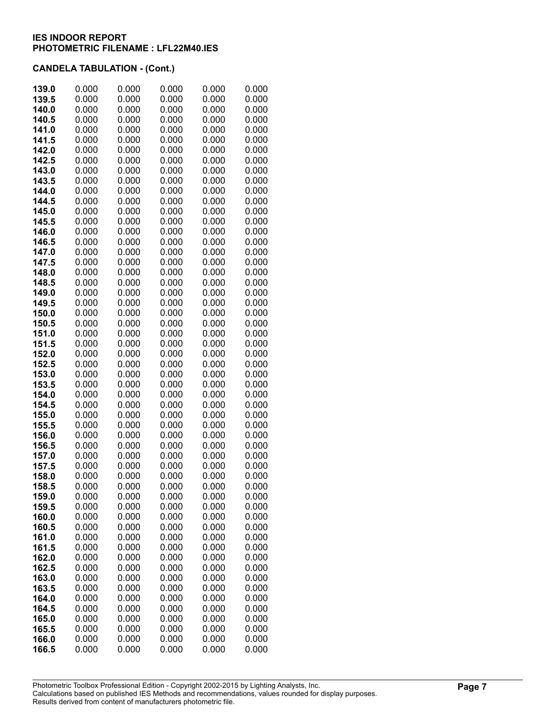| 139.0          | 0.000          | 0.000          | 0.000          | 0.000          | 0.000          |
|----------------|----------------|----------------|----------------|----------------|----------------|
| 139.5          | 0.000          | 0.000          | 0.000          | 0.000          | 0.000          |
| 140.0          | 0.000          | 0.000          | 0.000          | 0.000          | 0.000          |
| 140.5          | 0.000          | 0.000          | 0.000          | 0.000          | 0.000          |
| 141.0          | 0.000          | 0.000          | 0.000          | 0.000          | 0.000          |
| 141.5          | 0.000          | 0.000          | 0.000          | 0.000          | 0.000          |
| 142.0          | 0.000          | 0.000          | 0.000          | 0.000          | 0.000          |
| 142.5          | 0.000          | 0.000          | 0.000          | 0.000          | 0.000          |
| 143.0          | 0.000          | 0.000          | 0.000          | 0.000          | 0.000          |
| 143.5          | 0.000          | 0.000          | 0.000          | 0.000          | 0.000          |
| 144.0          | 0.000          | 0.000          | 0.000          | 0.000          | 0.000          |
| 144.5          | 0.000          | 0.000          | 0.000          | 0.000          | 0.000          |
| 145.0          | 0.000          | 0.000          | 0.000          | 0.000          | 0.000          |
| 145.5          | 0.000          | 0.000          | 0.000          | 0.000          | 0.000          |
| 146.0          | 0.000          | 0.000          | 0.000          | 0.000          | 0.000          |
| 146.5          | 0.000          | 0.000          | 0.000          | 0.000          | 0.000          |
| 147.0          | 0.000          | 0.000          | 0.000          | 0.000          | 0.000          |
| 147.5          | 0.000          | 0.000          | 0.000          | 0.000          | 0.000          |
| 148.0          | 0.000          | 0.000          | 0.000          | 0.000          | 0.000<br>0.000 |
| 148.5          | 0.000<br>0.000 | 0.000<br>0.000 | 0.000<br>0.000 | 0.000<br>0.000 | 0.000          |
| 149.0<br>149.5 | 0.000          | 0.000          | 0.000          | 0.000          | 0.000          |
| 150.0          | 0.000          | 0.000          | 0.000          | 0.000          | 0.000          |
| 150.5          | 0.000          | 0.000          | 0.000          | 0.000          | 0.000          |
| 151.0          | 0.000          | 0.000          | 0.000          | 0.000          | 0.000          |
| 151.5          | 0.000          | 0.000          | 0.000          | 0.000          | 0.000          |
| 152.0          | 0.000          | 0.000          | 0.000          | 0.000          | 0.000          |
| 152.5          | 0.000          | 0.000          | 0.000          | 0.000          | 0.000          |
| 153.0          | 0.000          | 0.000          | 0.000          | 0.000          | 0.000          |
| 153.5          | 0.000          | 0.000          | 0.000          | 0.000          | 0.000          |
| 154.0          | 0.000          | 0.000          | 0.000          | 0.000          | 0.000          |
| 154.5          | 0.000          | 0.000          | 0.000          | 0.000          | 0.000          |
| 155.0          | 0.000          | 0.000          | 0.000          | 0.000          | 0.000          |
| 155.5          | 0.000          | 0.000          | 0.000          | 0.000          | 0.000          |
| 156.0          | 0.000          | 0.000          | 0.000          | 0.000          | 0.000          |
| 156.5          | 0.000          | 0.000          | 0.000          | 0.000          | 0.000          |
| 157.0          | 0.000          | 0.000          | 0.000          | 0.000          | 0.000          |
| 157.5          | 0.000          | 0.000          | 0.000          | 0.000          | 0.000          |
| 158.0          | 0.000<br>0.000 | 0.000<br>0.000 | 0.000<br>0.000 | 0.000<br>0.000 | 0.000          |
| 158.5<br>159.0 | 0.000          | 0.000          | 0.000          | 0.000          | 0.000<br>0.000 |
| 159.5          | 0.000          | 0.000          | 0.000          | 0.000          | 0.000          |
| 160.0          | 0.000          | 0.000          | 0.000          | 0.000          | 0.000          |
| 160.5          | 0.000          | 0.000          | 0.000          | 0.000          | 0.000          |
| 161.0          | 0.000          | 0.000          | 0.000          | 0.000          | 0.000          |
| 161.5          | 0.000          | 0.000          | 0.000          | 0.000          | 0.000          |
| 162.0          | 0.000          | 0.000          | 0.000          | 0.000          | 0.000          |
| 162.5          | 0.000          | 0.000          | 0.000          | 0.000          | 0.000          |
| 163.0          | 0.000          | 0.000          | 0.000          | 0.000          | 0.000          |
| 163.5          | 0.000          | 0.000          | 0.000          | 0.000          | 0.000          |
| 164.0          | 0.000          | 0.000          | 0.000          | 0.000          | 0.000          |
| 164.5          | 0.000          | 0.000          | 0.000          | 0.000          | 0.000          |
| 165.0          | 0.000          | 0.000          | 0.000          | 0.000          | 0.000          |
| 165.5          | 0.000          | 0.000          | 0.000          | 0.000          | 0.000          |
| 166.0          | 0.000          | 0.000          | 0.000          | 0.000          | 0.000          |
| 166.5          | 0.000          | 0.000          | 0.000          | 0.000          | 0.000          |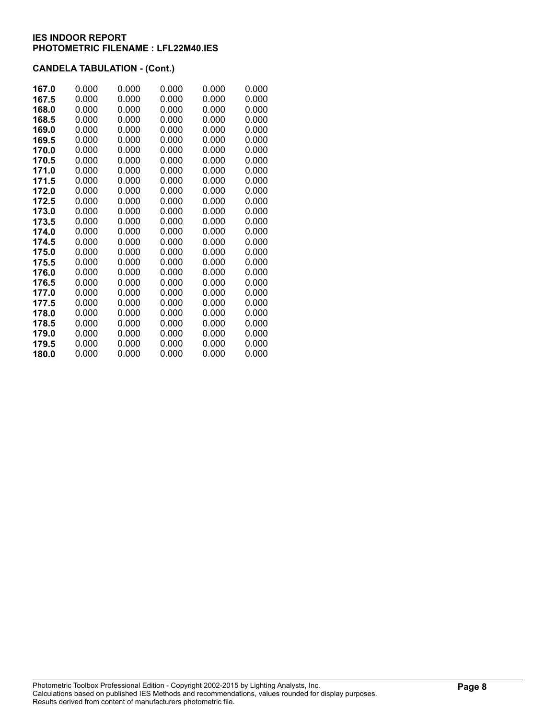| 167.0 | 0.000 | 0.000 | 0.000 | 0.000 | 0.000 |
|-------|-------|-------|-------|-------|-------|
| 167.5 | 0.000 | 0.000 | 0.000 | 0.000 | 0.000 |
| 168.0 | 0.000 | 0.000 | 0.000 | 0.000 | 0.000 |
| 168.5 | 0.000 | 0.000 | 0.000 | 0.000 | 0.000 |
| 169.0 | 0.000 | 0.000 | 0.000 | 0.000 | 0.000 |
| 169.5 | 0.000 | 0.000 | 0.000 | 0.000 | 0.000 |
| 170.0 | 0.000 | 0.000 | 0.000 | 0.000 | 0.000 |
| 170.5 | 0.000 | 0.000 | 0.000 | 0.000 | 0.000 |
| 171.0 | 0.000 | 0.000 | 0.000 | 0.000 | 0.000 |
| 171.5 | 0.000 | 0.000 | 0.000 | 0.000 | 0.000 |
| 172.0 | 0.000 | 0.000 | 0.000 | 0.000 | 0.000 |
| 172.5 | 0.000 | 0.000 | 0.000 | 0.000 | 0.000 |
| 173.0 | 0.000 | 0.000 | 0.000 | 0.000 | 0.000 |
| 173.5 | 0.000 | 0.000 | 0.000 | 0.000 | 0.000 |
| 174.0 | 0.000 | 0.000 | 0.000 | 0.000 | 0.000 |
| 174.5 | 0.000 | 0.000 | 0.000 | 0.000 | 0.000 |
| 175.0 | 0.000 | 0.000 | 0.000 | 0.000 | 0.000 |
| 175.5 | 0.000 | 0.000 | 0.000 | 0.000 | 0.000 |
| 176.0 | 0.000 | 0.000 | 0.000 | 0.000 | 0.000 |
| 176.5 | 0.000 | 0.000 | 0.000 | 0.000 | 0.000 |
| 177.0 | 0.000 | 0.000 | 0.000 | 0.000 | 0.000 |
| 177.5 | 0.000 | 0.000 | 0.000 | 0.000 | 0.000 |
| 178.0 | 0.000 | 0.000 | 0.000 | 0.000 | 0.000 |
| 178.5 | 0.000 | 0.000 | 0.000 | 0.000 | 0.000 |
| 179.0 | 0.000 | 0.000 | 0.000 | 0.000 | 0.000 |
| 179.5 | 0.000 | 0.000 | 0.000 | 0.000 | 0.000 |
| 180.0 | 0.000 | 0.000 | 0.000 | 0.000 | 0.000 |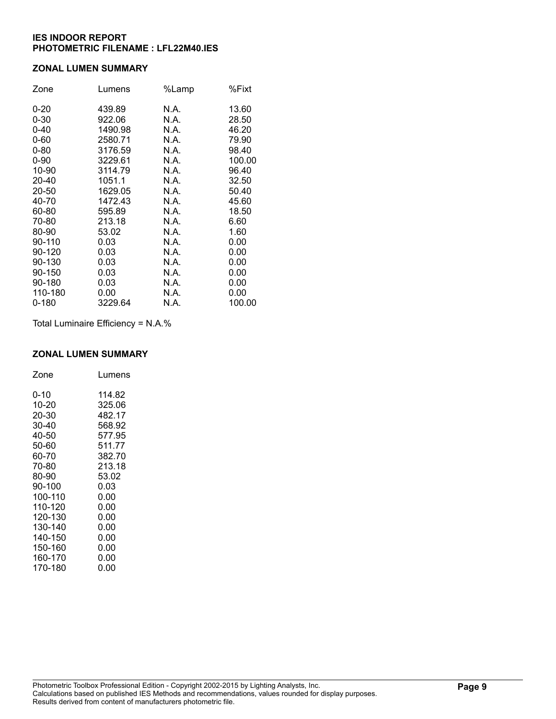### **ZONAL LUMEN SUMMARY**

| Zone      | Lumens  | %Lamp | %Fixt  |
|-----------|---------|-------|--------|
| $0 - 20$  | 439.89  | N.A.  | 13.60  |
| $0 - 30$  | 922.06  | N.A.  | 28.50  |
| $0 - 40$  | 1490.98 | N.A.  | 46.20  |
| $0 - 60$  | 2580.71 | N.A.  | 79.90  |
| $0 - 80$  | 3176.59 | N.A.  | 98.40  |
| $0 - 90$  | 3229.61 | N.A.  | 100.00 |
| 10-90     | 3114.79 | N.A.  | 96.40  |
| 20-40     | 1051.1  | N.A.  | 32.50  |
| 20-50     | 1629.05 | N.A.  | 50.40  |
| 40-70     | 1472.43 | N.A.  | 45.60  |
| 60-80     | 595.89  | N.A.  | 18.50  |
| 70-80     | 213.18  | N.A.  | 6.60   |
| 80-90     | 53.02   | N.A.  | 1.60   |
| 90-110    | 0.03    | N.A.  | 0.00   |
| 90-120    | 0.03    | N.A.  | 0.00   |
| 90-130    | 0.03    | N.A.  | 0.00   |
| 90-150    | 0.03    | N.A.  | 0.00   |
| 90-180    | 0.03    | N.A.  | 0.00   |
| 110-180   | 0.00    | N.A.  | 0.00   |
| $0 - 180$ | 3229.64 | N.A.  | 100.00 |

Total Luminaire Efficiency = N.A.%

#### **ZONAL LUMEN SUMMARY**

| Zone    | Lumens |
|---------|--------|
| 0-10    | 114.82 |
| 10-20   | 325.06 |
| 20-30   | 482.17 |
| 30-40   | 568.92 |
| 40-50   | 577.95 |
| 50-60   | 511.77 |
| 60-70   | 382.70 |
| 70-80   | 213.18 |
| 80-90   | 53.02  |
| 90-100  | 0.03   |
| 100-110 | 0.00   |
| 110-120 | 0.00   |
| 120-130 | 0.00   |
| 130-140 | 0.00   |
| 140-150 | 0.00   |
| 150-160 | 0.00   |
| 160-170 | 0.00   |
| 170-180 | 0.00   |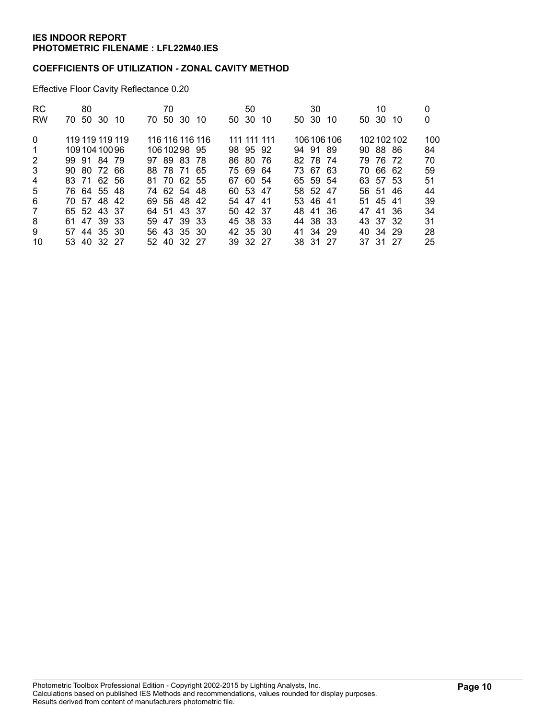### **COEFFICIENTS OF UTILIZATION - ZONAL CAVITY METHOD**

Effective Floor Cavity Reflectance 0.20

| <b>RC</b><br><b>RW</b> | 80<br>50 30 10<br>70. | 70<br>50 30 10<br>70. | 50<br>50 30 10 | 30<br>50 30<br>10 | 10<br>50 30<br>-10 | 0<br>0 |
|------------------------|-----------------------|-----------------------|----------------|-------------------|--------------------|--------|
|                        |                       |                       |                |                   |                    |        |
| $\Omega$               | 119 119 119 119       | 116 116 116 116       | 111 111 111    | 106 106 106       | 102102102          | 100    |
| 1                      | 10910410096           | 10610298 95           | 98 95 92       | 94 91 89          | 90 88 86           | 84     |
| $\overline{2}$         | 99 91 84 79           | 97 89 83 78           | 86 80<br>- 76  | 82 78 74          | 79 76 72           | 70     |
| 3                      | 90 80 72 66           | 88 78 71 65           | 75 69 64       | 73 67 63          | 70 66 62           | 59     |
| 4                      | 83 71 62 56           | 81 70 62 55           | 67 60 54       | 65 59 54          | 63 57 53           | 51     |
| 5                      | 76 64 55 48           | 74 62 54 48           | 60 53 47       | 58 52 47          | 56 51<br>-46       | 44     |
| 6                      | 70 57 48 42           | 69 56 48 42           | 54 47 41       | 53 46 41          | 51 45 41           | 39     |
| $\overline{7}$         | 65 52 43 37           | 64 51 43 37           | 50 42 37       | 48 41 36          | 47 41 36           | 34     |
| 8                      | 61 47 39 33           | 59 47 39 33           | 45 38 33       | 44 38 33          | 43 37<br>-32       | 31     |
| 9                      | 57 44 35 30           | 56 43 35 30           | 42 35 30       | 41 34 29          | 40 34 29           | 28     |
| 10                     | 53 40 32 27           | 52 40 32 27           | 39 32 27       | 38 31 27          | 37 31 27           | 25     |